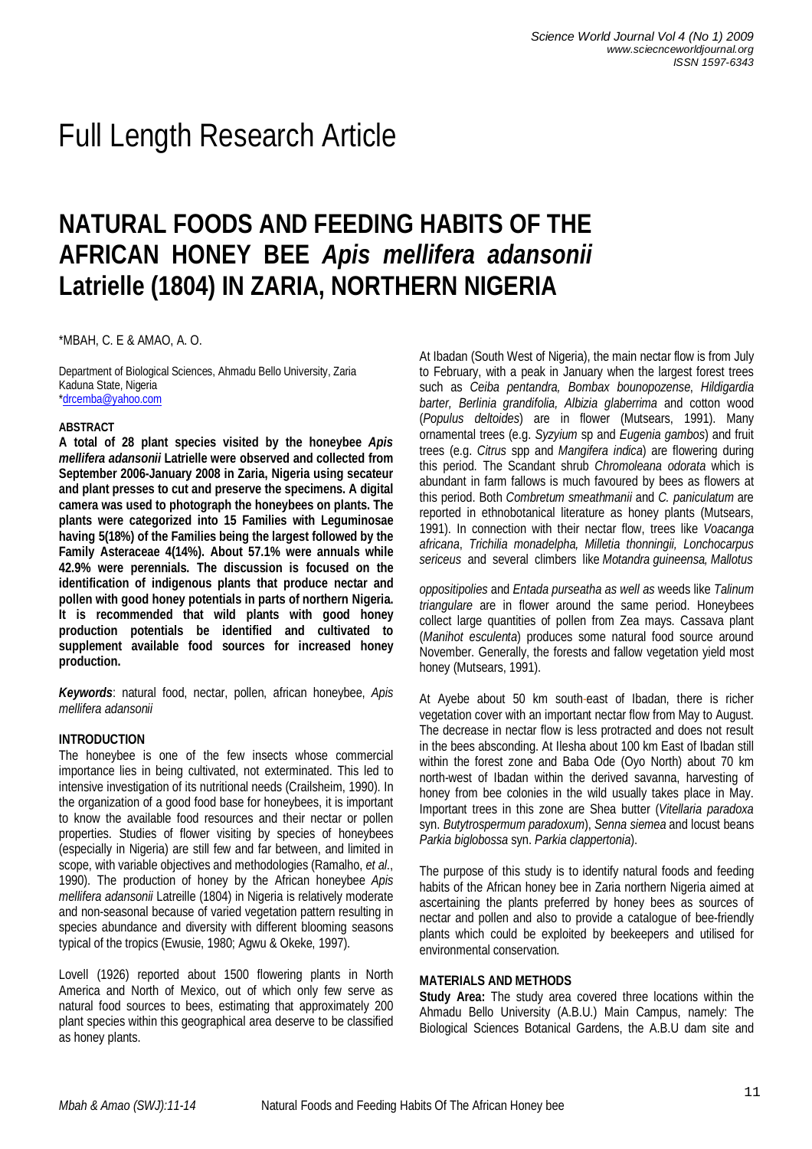# Full Length Research Article

# **NATURAL FOODS AND FEEDING HABITS OF THE AFRICAN HONEY BEE** *Apis mellifera adansonii*  **Latrielle (1804) IN ZARIA, NORTHERN NIGERIA**

\*MBAH, C. E & AMAO, A. O.

Department of Biological Sciences, Ahmadu Bello University, Zaria Kaduna State, Nigeria \*drcemba@yahoo.com

#### **ABSTRACT**

**A total of 28 plant species visited by the honeybee** *Apis mellifera adansonii* **Latrielle were observed and collected from September 2006-January 2008 in Zaria, Nigeria using secateur and plant presses to cut and preserve the specimens. A digital camera was used to photograph the honeybees on plants. The plants were categorized into 15 Families with Leguminosae having 5(18%) of the Families being the largest followed by the Family Asteraceae 4(14%). About 57.1% were annuals while 42.9% were perennials. The discussion is focused on the identification of indigenous plants that produce nectar and pollen with good honey potentials in parts of northern Nigeria. It is recommended that wild plants with good honey production potentials be identified and cultivated to supplement available food sources for increased honey production.** 

*Keywords*: natural food, nectar, pollen, african honeybee, *Apis mellifera adansonii*

## **INTRODUCTION**

The honeybee is one of the few insects whose commercial importance lies in being cultivated, not exterminated. This led to intensive investigation of its nutritional needs (Crailsheim, 1990). In the organization of a good food base for honeybees, it is important to know the available food resources and their nectar or pollen properties. Studies of flower visiting by species of honeybees (especially in Nigeria) are still few and far between, and limited in scope, with variable objectives and methodologies (Ramalho, *et al*., 1990). The production of honey by the African honeybee *Apis mellifera adansonii* Latreille (1804) in Nigeria is relatively moderate and non-seasonal because of varied vegetation pattern resulting in species abundance and diversity with different blooming seasons typical of the tropics (Ewusie, 1980; Agwu & Okeke, 1997).

Lovell (1926) reported about 1500 flowering plants in North America and North of Mexico, out of which only few serve as natural food sources to bees, estimating that approximately 200 plant species within this geographical area deserve to be classified as honey plants.

At Ibadan (South West of Nigeria), the main nectar flow is from July to February, with a peak in January when the largest forest trees such as *Ceiba pentandra, Bombax bounopozense*, *Hildigardia barter, Berlinia grandifolia, Albizia glaberrima* and cotton wood (*Populus deltoides*) are in flower (Mutsears, 1991). Many ornamental trees (e.g. *Syzyium* sp and *Eugenia gambos*) and fruit trees (e.g. *Citrus* spp and *Mangifera indica*) are flowering during this period. The Scandant shrub *Chromoleana odorata* which is abundant in farm fallows is much favoured by bees as flowers at this period. Both *Combretum smeathmanii* and *C. paniculatum* are reported in ethnobotanical literature as honey plants (Mutsears, 1991). In connection with their nectar flow, trees like *Voacanga africana*, *Trichilia monadelpha, Milletia thonningii, Lonchocarpus sericeus* and several climbers like *Motandra guineensa, Mallotus* 

*oppositipolies* and *Entada purseatha as well as* weeds like *Talinum triangulare* are in flower around the same period. Honeybees collect large quantities of pollen from Zea mays. Cassava plant (*Manihot esculenta*) produces some natural food source around November. Generally, the forests and fallow vegetation yield most honey (Mutsears, 1991).

At Ayebe about 50 km south-east of Ibadan, there is richer vegetation cover with an important nectar flow from May to August. The decrease in nectar flow is less protracted and does not result in the bees absconding. At Ilesha about 100 km East of Ibadan still within the forest zone and Baba Ode (Oyo North) about 70 km north-west of Ibadan within the derived savanna, harvesting of honey from bee colonies in the wild usually takes place in May. Important trees in this zone are Shea butter (*Vitellaria paradoxa*  syn. *Butytrospermum paradoxum*), *Senna siemea* and locust beans *Parkia biglobossa* syn. *Parkia clappertonia*).

The purpose of this study is to identify natural foods and feeding habits of the African honey bee in Zaria northern Nigeria aimed at ascertaining the plants preferred by honey bees as sources of nectar and pollen and also to provide a catalogue of bee-friendly plants which could be exploited by beekeepers and utilised for environmental conservation.

## **MATERIALS AND METHODS**

**Study Area:** The study area covered three locations within the Ahmadu Bello University (A.B.U.) Main Campus, namely: The Biological Sciences Botanical Gardens, the A.B.U dam site and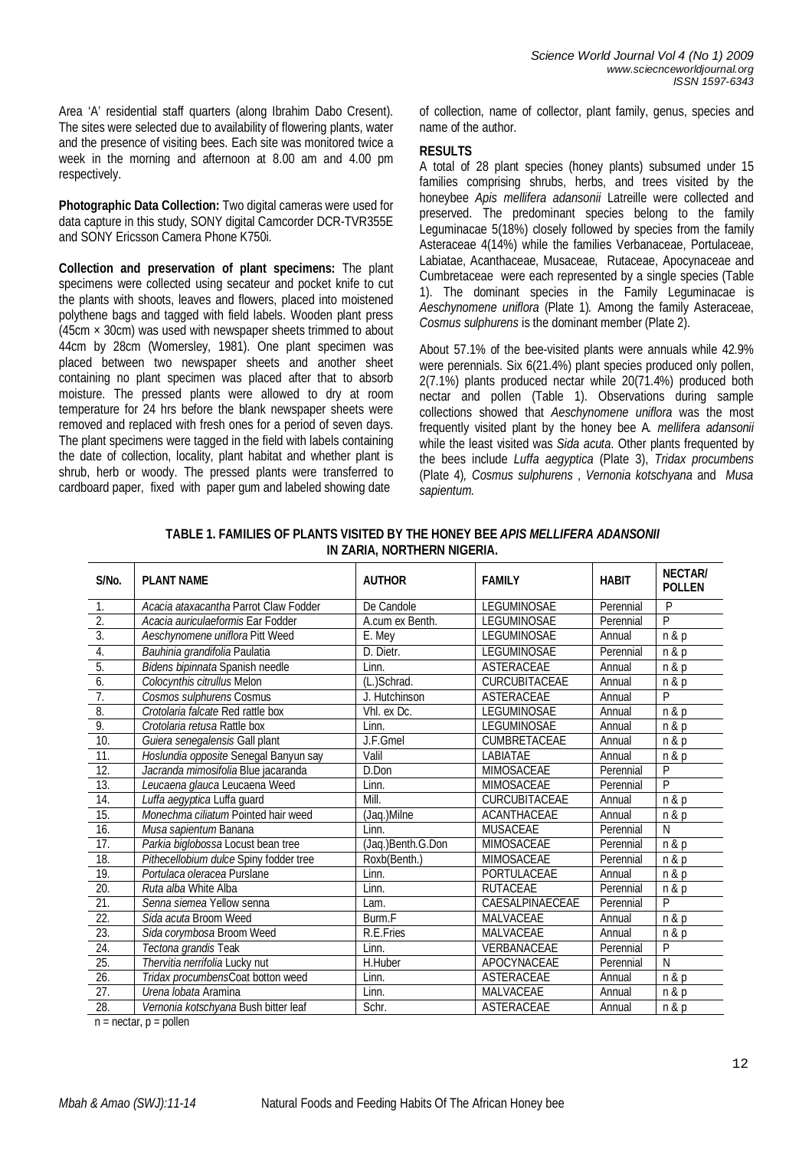Area 'A' residential staff quarters (along Ibrahim Dabo Cresent). The sites were selected due to availability of flowering plants, water and the presence of visiting bees. Each site was monitored twice a week in the morning and afternoon at 8.00 am and 4.00 pm respectively.

**Photographic Data Collection:** Two digital cameras were used for data capture in this study, SONY digital Camcorder DCR-TVR355E and SONY Ericsson Camera Phone K750i.

**Collection and preservation of plant specimens:** The plant specimens were collected using secateur and pocket knife to cut the plants with shoots, leaves and flowers, placed into moistened polythene bags and tagged with field labels. Wooden plant press (45cm  $\times$  30cm) was used with newspaper sheets trimmed to about 44cm by 28cm (Womersley, 1981). One plant specimen was placed between two newspaper sheets and another sheet containing no plant specimen was placed after that to absorb moisture. The pressed plants were allowed to dry at room temperature for 24 hrs before the blank newspaper sheets were removed and replaced with fresh ones for a period of seven days. The plant specimens were tagged in the field with labels containing the date of collection, locality, plant habitat and whether plant is shrub, herb or woody. The pressed plants were transferred to cardboard paper, fixed with paper gum and labeled showing date

of collection, name of collector, plant family, genus, species and name of the author.

## **RESULTS**

A total of 28 plant species (honey plants) subsumed under 15 families comprising shrubs, herbs, and trees visited by the honeybee *Apis mellifera adansonii* Latreille were collected and preserved. The predominant species belong to the family Leguminacae 5(18%) closely followed by species from the family Asteraceae 4(14%) while the families Verbanaceae, Portulaceae, Labiatae, Acanthaceae, Musaceae, Rutaceae, Apocynaceae and Cumbretaceae were each represented by a single species (Table 1). The dominant species in the Family Leguminacae is *Aeschynomene uniflora* (Plate 1)*.* Among the family Asteraceae, *Cosmus sulphurens* is the dominant member (Plate 2).

About 57.1% of the bee-visited plants were annuals while 42.9% were perennials. Six 6(21.4%) plant species produced only pollen, 2(7.1%) plants produced nectar while 20(71.4%) produced both nectar and pollen (Table 1). Observations during sample collections showed that *Aeschynomene uniflora* was the most frequently visited plant by the honey bee A*. mellifera adansonii*  while the least visited was *Sida acuta*. Other plants frequented by the bees include *Luffa aegyptica* (Plate 3), *Tridax procumbens* (Plate 4)*, Cosmus sulphurens* , *Vernonia kotschyana* and *Musa sapientum.*

| S/No.            | <b>PLANT NAME</b>                      | <b>AUTHOR</b>     | <b>FAMILY</b>        | <b>HABIT</b> | <b>NECTAR/</b><br><b>POLLEN</b> |
|------------------|----------------------------------------|-------------------|----------------------|--------------|---------------------------------|
| $\mathbf{1}$ .   | Acacia ataxacantha Parrot Claw Fodder  | De Candole        | <b>LEGUMINOSAE</b>   | Perennial    | P                               |
| $\overline{2}$ . | Acacia auriculaeformis Ear Fodder      | A.cum ex Benth.   | LEGUMINOSAE          | Perennial    | $\overline{P}$                  |
| $\overline{3}$ . | Aeschynomene uniflora Pitt Weed        | E. Mey            | <b>LEGUMINOSAE</b>   | Annual       | n & p                           |
| 4.               | Bauhinia grandifolia Paulatia          | D. Dietr.         | LEGUMINOSAE          | Perennial    | n & p                           |
| 5.               | Bidens bipinnata Spanish needle        | Linn.             | <b>ASTERACEAE</b>    | Annual       | n & p                           |
| 6.               | Colocynthis citrullus Melon            | (L.)Schrad.       | <b>CURCUBITACEAE</b> | Annual       | n & p                           |
| 7.               | <b>Cosmos sulphurens Cosmus</b>        | J. Hutchinson     | <b>ASTERACEAE</b>    | Annual       | $\overline{P}$                  |
| 8.               | Crotolaria falcate Red rattle box      | Vhl. ex Dc.       | LEGUMINOSAE          | Annual       | n & p                           |
| 9.               | Crotolaria retusa Rattle box           | Linn.             | LEGUMINOSAE          | Annual       | n & p                           |
| 10.              | Guiera senegalensis Gall plant         | J.F.Gmel          | <b>CUMBRETACEAE</b>  | Annual       | n & p                           |
| 11.              | Hoslundia opposite Senegal Banyun say  | Valil             | LABIATAE             | Annual       | n & p                           |
| 12.              | Jacranda mimosifolia Blue jacaranda    | D.Don             | <b>MIMOSACEAE</b>    | Perennial    | $\overline{P}$                  |
| 13.              | Leucaena glauca Leucaena Weed          | Linn.             | <b>MIMOSACEAE</b>    | Perennial    | $\overline{P}$                  |
| 14.              | Luffa aegyptica Luffa guard            | Mill.             | <b>CURCUBITACEAE</b> | Annual       | n & p                           |
| 15.              | Monechma ciliatum Pointed hair weed    | (Jaq.)Milne       | <b>ACANTHACEAE</b>   | Annual       | n & p                           |
| 16.              | Musa sapientum Banana                  | Linn.             | <b>MUSACEAE</b>      | Perennial    | N                               |
| 17.              | Parkia biglobossa Locust bean tree     | (Jaq.)Benth.G.Don | <b>MIMOSACEAE</b>    | Perennial    | n & p                           |
| 18.              | Pithecellobium dulce Spiny fodder tree | Roxb(Benth.)      | <b>MIMOSACEAE</b>    | Perennial    | n & p                           |
| 19.              | Portulaca oleracea Purslane            | Linn.             | PORTULACEAE          | Annual       | n & p                           |
| 20.              | Ruta alba White Alba                   | Linn.             | <b>RUTACEAE</b>      | Perennial    | n & p                           |
| 21.              | Senna siemea Yellow senna              | Lam.              | CAESALPINAECEAE      | Perennial    | $\overline{P}$                  |
| 22.              | Sida acuta Broom Weed                  | Burm.F            | <b>MALVACEAE</b>     | Annual       | n & p                           |
| 23.              | Sida corymbosa Broom Weed              | R.E.Fries         | MALVACEAE            | Annual       | n & p                           |
| 24.              | Tectona grandis Teak                   | Linn.             | VERBANACEAE          | Perennial    | P                               |
| 25.              | Thervitia nerrifolia Lucky nut         | H.Huber           | APOCYNACEAE          | Perennial    | Ñ                               |
| $\overline{26}$  | Tridax procumbensCoat botton weed      | Linn.             | <b>ASTERACEAE</b>    | Annual       | n & p                           |
| 27.              | Urena lobata Aramina                   | Linn.             | <b>MALVACEAE</b>     | Annual       | n & p                           |
| 28.              | Vernonia kotschyana Bush bitter leaf   | Schr.             | <b>ASTERACEAE</b>    | Annual       | n & p                           |

**TABLE 1. FAMILIES OF PLANTS VISITED BY THE HONEY BEE** *APIS MELLIFERA ADANSONII*  **IN ZARIA, NORTHERN NIGERIA.**

 $n = n \cdot \text{cotar}, p = \text{pollen}$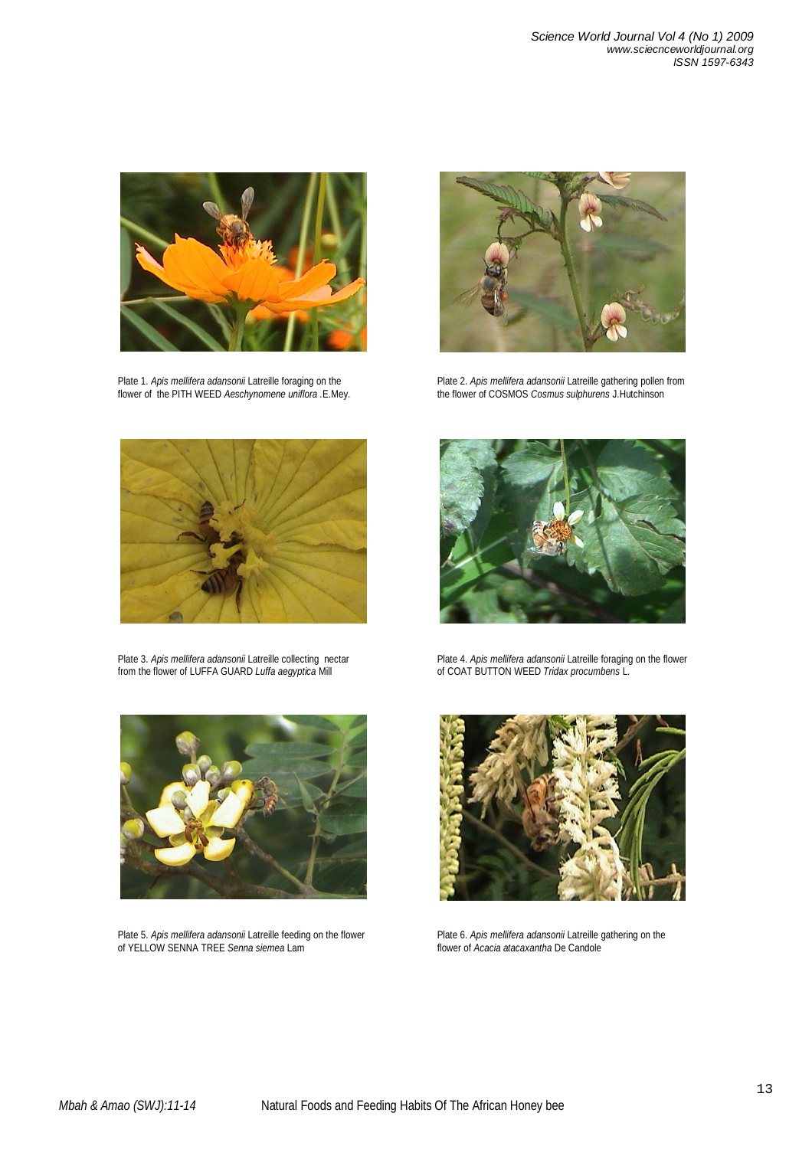

Plate 1. *Apis mellifera adansonii* Latreille foraging on the flower of the PITH WEED *Aeschynomene uniflora .*E.Mey.



Plate 3. *Apis mellifera adansonii* Latreille collecting nectar from the flower of LUFFA GUARD *Luffa aegyptica* Mill



Plate 2. *Apis mellifera adansonii* Latreille gathering pollen from the flower of COSMOS *Cosmus sulphurens* J.Hutchinson



Plate 4. *Apis mellifera adansonii* Latreille foraging on the flower of COAT BUTTON WEED *Tridax procumbens* L.



Plate 5. *Apis mellifera adansonii* Latreille feeding on the flower of YELLOW SENNA TREE *Senna siemea* Lam



Plate 6. *Apis mellifera adansonii* Latreille gathering on the flower of *Acacia atacaxantha* De Candole